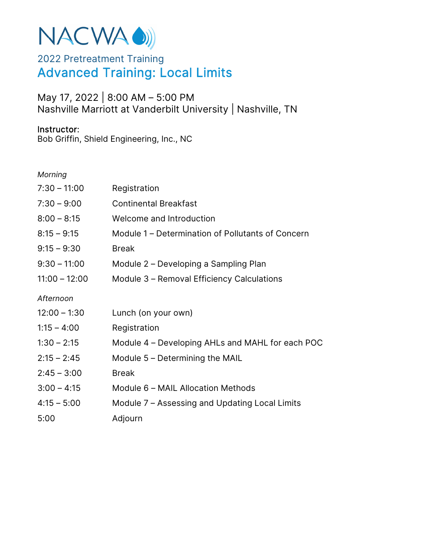# NACWA OD)

## 2022 Pretreatment Training Advanced Training: Local Limits

### May 17, 2022 | 8:00 AM – 5:00 PM Nashville Marriott at Vanderbilt University | Nashville, TN

#### Instructor:

Bob Griffin, Shield Engineering, Inc., NC

#### *Morning*

| $7:30 - 11:00$  | Registration                                      |
|-----------------|---------------------------------------------------|
| $7:30 - 9:00$   | <b>Continental Breakfast</b>                      |
| $8:00 - 8:15$   | Welcome and Introduction                          |
| $8:15 - 9:15$   | Module 1 – Determination of Pollutants of Concern |
| $9:15 - 9:30$   | <b>Break</b>                                      |
| $9:30 - 11:00$  | Module 2 – Developing a Sampling Plan             |
| $11:00 - 12:00$ | Module 3 - Removal Efficiency Calculations        |
| Afternoon       |                                                   |
| $12:00 - 1:30$  | Lunch (on your own)                               |
| $1:15 - 4:00$   | Registration                                      |
| $1:30 - 2:15$   | Module 4 – Developing AHLs and MAHL for each POC  |
| $2:15 - 2:45$   | Module $5$ – Determining the MAIL                 |
| $2:45 - 3:00$   | <b>Break</b>                                      |
| $3:00 - 4:15$   | Module 6 - MAIL Allocation Methods                |
| $4:15 - 5:00$   | Module 7 – Assessing and Updating Local Limits    |
| 5:00            | Adjourn                                           |